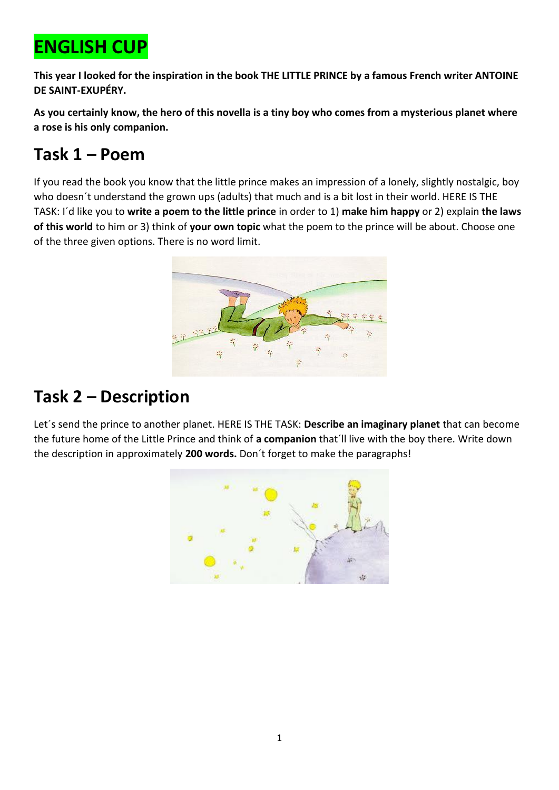# **ENGLISH CUP**

**This year I looked for the inspiration in the book THE LITTLE PRINCE by a famous French writer ANTOINE DE SAINT-EXUPÉRY.** 

**As you certainly know, the hero of this novella is a tiny boy who comes from a mysterious planet where a rose is his only companion.**

# **Task 1 – Poem**

If you read the book you know that the little prince makes an impression of a lonely, slightly nostalgic, boy who doesn´t understand the grown ups (adults) that much and is a bit lost in their world. HERE IS THE TASK: I´d like you to **write a poem to the little prince** in order to 1) **make him happy** or 2) explain **the laws of this world** to him or 3) think of **your own topic** what the poem to the prince will be about. Choose one of the three given options. There is no word limit.



# **Task 2 – Description**

Let´s send the prince to another planet. HERE IS THE TASK: **Describe an imaginary planet** that can become the future home of the Little Prince and think of **a companion** that´ll live with the boy there. Write down the description in approximately **200 words.** Don´t forget to make the paragraphs!

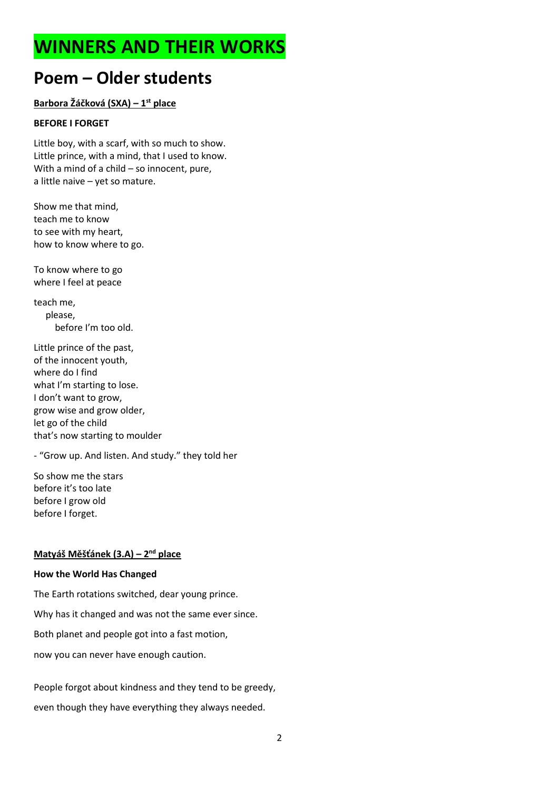# **WINNERS AND THEIR WORKS**

# **Poem – Older students**

**Barbora Žáčková (SXA) – 1 st place**

## **BEFORE I FORGET**

Little boy, with a scarf, with so much to show. Little prince, with a mind, that I used to know. With a mind of a child – so innocent, pure, a little naive – yet so mature.

Show me that mind, teach me to know to see with my heart, how to know where to go.

To know where to go where I feel at peace

teach me, please, before I'm too old.

Little prince of the past, of the innocent youth, where do I find what I'm starting to lose. I don't want to grow, grow wise and grow older, let go of the child that's now starting to moulder

- "Grow up. And listen. And study." they told her

So show me the stars before it's too late before I grow old before I forget.

## **Matyáš Měšťánek (3.A) – 2 nd place**

## **How the World Has Changed**

The Earth rotations switched, dear young prince. Why has it changed and was not the same ever since. Both planet and people got into a fast motion, now you can never have enough caution.

People forgot about kindness and they tend to be greedy, even though they have everything they always needed.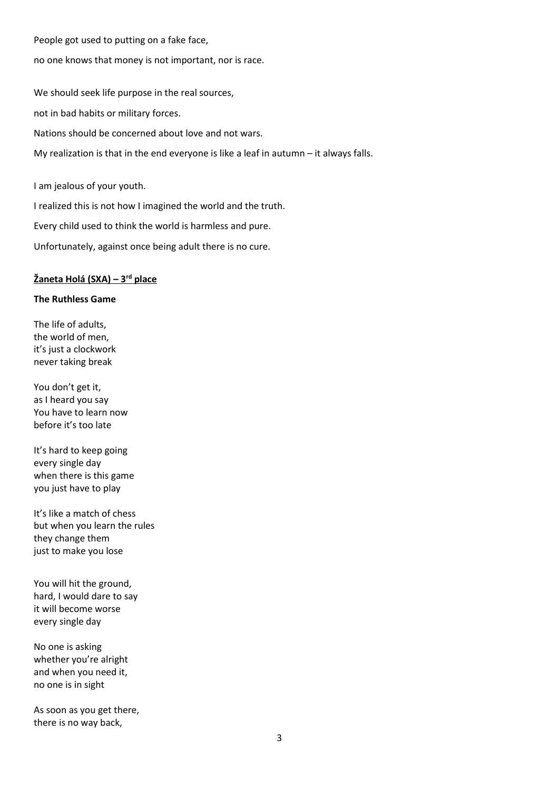People got used to putting on a fake face,

no one knows that money is not important, nor is race.

We should seek life purpose in the real sources, not in bad habits or military forces. Nations should be concerned about love and not wars. My realization is that in the end everyone is like a leaf in autumn – it always falls.

I am jealous of your youth.

I realized this is not how I imagined the world and the truth.

Every child used to think the world is harmless and pure.

Unfortunately, against once being adult there is no cure.

#### **Žaneta Holá (SXA) – 3 rd place**

#### **The Ruthless Game**

The life of adults, the world of men, it's just a clockwork never taking break

You don't get it, as I heard you say You have to learn now before it's too late

It's hard to keep going every single day when there is this game you just have to play

It's like a match of chess but when you learn the rules they change them just to make you lose

You will hit the ground, hard, I would dare to say it will become worse every single day

No one is asking whether you're alright and when you need it, no one is in sight

As soon as you get there, there is no way back,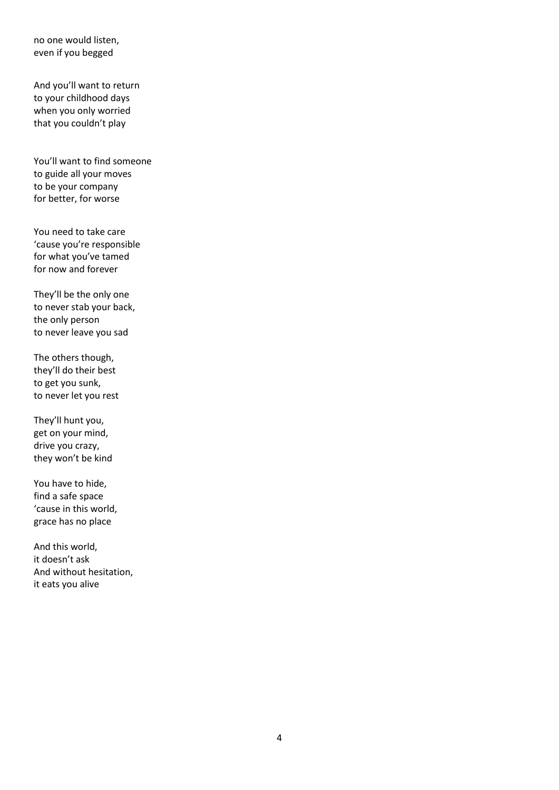no one would listen, even if you begged

And you'll want to return to your childhood days when you only worried that you couldn't play

You'll want to find someone to guide all your moves to be your company for better, for worse

You need to take care 'cause you're responsible for what you've tamed for now and forever

They'll be the only one to never stab your back, the only person to never leave you sad

The others though, they'll do their best to get you sunk, to never let you rest

They'll hunt you, get on your mind, drive you crazy, they won't be kind

You have to hide, find a safe space 'cause in this world, grace has no place

And this world, it doesn't ask And without hesitation, it eats you alive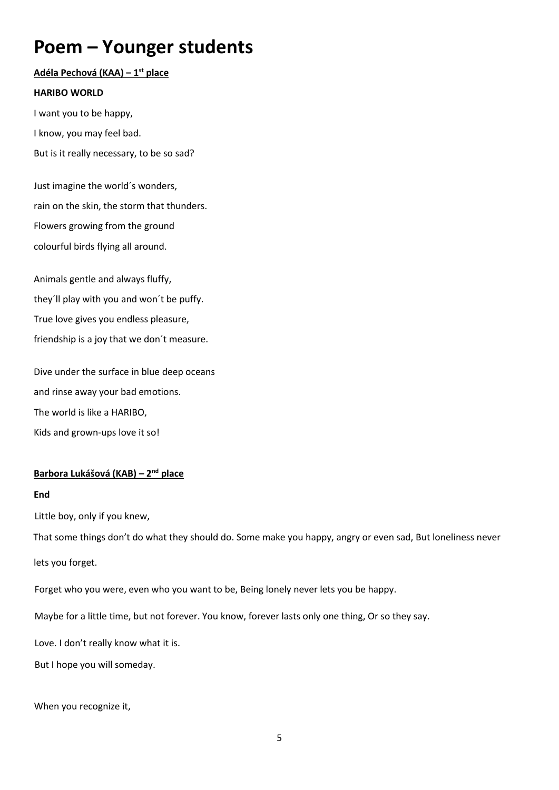# **Poem – Younger students**

# **Adéla Pechová (KAA) – 1 st place**

### **HARIBO WORLD**

I want you to be happy,

I know, you may feel bad.

But is it really necessary, to be so sad?

Just imagine the world´s wonders, rain on the skin, the storm that thunders. Flowers growing from the ground colourful birds flying all around.

Animals gentle and always fluffy, they´ll play with you and won´t be puffy. True love gives you endless pleasure, friendship is a joy that we don´t measure.

Dive under the surface in blue deep oceans and rinse away your bad emotions. The world is like a HARIBO, Kids and grown-ups love it so!

# **Barbora Lukášová (KAB) – 2 nd place**

#### **End**

Little boy, only if you knew,

That some things don't do what they should do. Some make you happy, angry or even sad, But loneliness never

lets you forget.

Forget who you were, even who you want to be, Being lonely never lets you be happy.

Maybe for a little time, but not forever. You know, forever lasts only one thing, Or so they say.

Love. I don't really know what it is.

But I hope you will someday.

When you recognize it,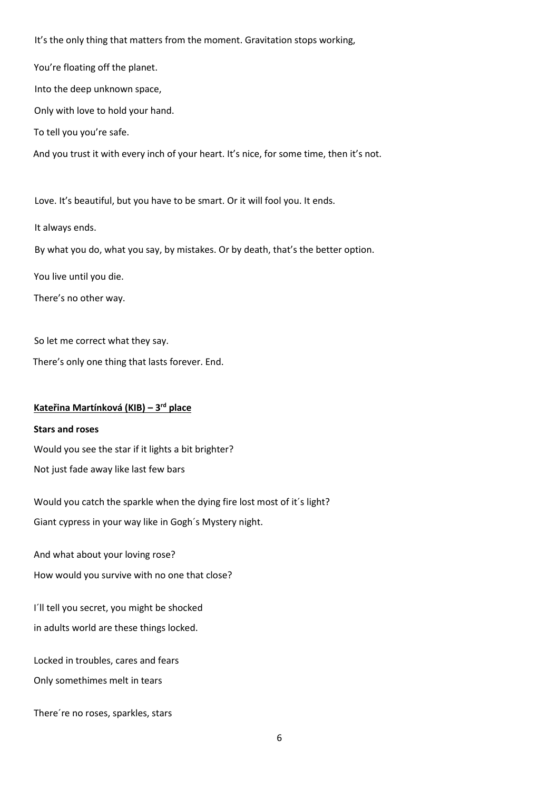It's the only thing that matters from the moment. Gravitation stops working,

You're floating off the planet.

Into the deep unknown space,

Only with love to hold your hand.

To tell you you're safe.

And you trust it with every inch of your heart. It's nice, for some time, then it's not.

Love. It's beautiful, but you have to be smart. Or it will fool you. It ends.

It always ends.

By what you do, what you say, by mistakes. Or by death, that's the better option.

You live until you die.

There's no other way.

So let me correct what they say.

There's only one thing that lasts forever. End.

#### **Kateřina Martínková (KIB) – 3 rd place**

#### **Stars and roses**

Would you see the star if it lights a bit brighter? Not just fade away like last few bars

Would you catch the sparkle when the dying fire lost most of it´s light? Giant cypress in your way like in Gogh´s Mystery night.

And what about your loving rose?

How would you survive with no one that close?

I´ll tell you secret, you might be shocked in adults world are these things locked.

Locked in troubles, cares and fears Only somethimes melt in tears

There´re no roses, sparkles, stars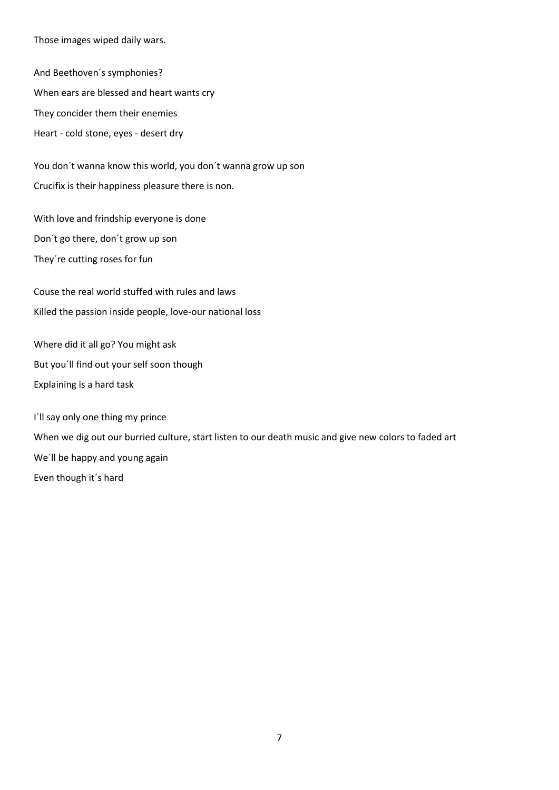Those images wiped daily wars.

And Beethoven´s symphonies? When ears are blessed and heart wants cry They concider them their enemies Heart - cold stone, eyes - desert dry

You don´t wanna know this world, you don´t wanna grow up son Crucifix is their happiness pleasure there is non.

With love and frindship everyone is done Don´t go there, don´t grow up son They´re cutting roses for fun

Couse the real world stuffed with rules and laws Killed the passion inside people, love-our national loss

Where did it all go? You might ask But you´ll find out your self soon though Explaining is a hard task

I´ll say only one thing my prince When we dig out our burried culture, start listen to our death music and give new colors to faded art We´ll be happy and young again Even though it´s hard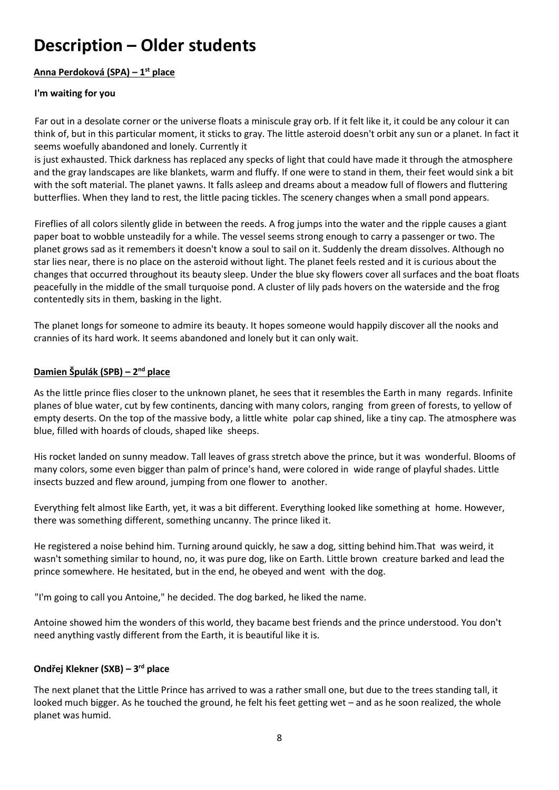# **Description – Older students**

# **Anna Perdoková (SPA) – 1 st place**

# **I'm waiting for you**

Far out in a desolate corner or the universe floats a miniscule gray orb. If it felt like it, it could be any colour it can think of, but in this particular moment, it sticks to gray. The little asteroid doesn't orbit any sun or a planet. In fact it seems woefully abandoned and lonely. Currently it

is just exhausted. Thick darkness has replaced any specks of light that could have made it through the atmosphere and the gray landscapes are like blankets, warm and fluffy. If one were to stand in them, their feet would sink a bit with the soft material. The planet yawns. It falls asleep and dreams about a meadow full of flowers and fluttering butterflies. When they land to rest, the little pacing tickles. The scenery changes when a small pond appears.

Fireflies of all colors silently glide in between the reeds. A frog jumps into the water and the ripple causes a giant paper boat to wobble unsteadily for a while. The vessel seems strong enough to carry a passenger or two. The planet grows sad as it remembers it doesn't know a soul to sail on it. Suddenly the dream dissolves. Although no star lies near, there is no place on the asteroid without light. The planet feels rested and it is curious about the changes that occurred throughout its beauty sleep. Under the blue sky flowers cover all surfaces and the boat floats peacefully in the middle of the small turquoise pond. A cluster of lily pads hovers on the waterside and the frog contentedly sits in them, basking in the light.

The planet longs for someone to admire its beauty. It hopes someone would happily discover all the nooks and crannies of its hard work. It seems abandoned and lonely but it can only wait.

# **Damien Špulák (SPB) – 2 nd place**

As the little prince flies closer to the unknown planet, he sees that it resembles the Earth in many regards. Infinite planes of blue water, cut by few continents, dancing with many colors, ranging from green of forests, to yellow of empty deserts. On the top of the massive body, a little white polar cap shined, like a tiny cap. The atmosphere was blue, filled with hoards of clouds, shaped like sheeps.

His rocket landed on sunny meadow. Tall leaves of grass stretch above the prince, but it was wonderful. Blooms of many colors, some even bigger than palm of prince's hand, were colored in wide range of playful shades. Little insects buzzed and flew around, jumping from one flower to another.

Everything felt almost like Earth, yet, it was a bit different. Everything looked like something at home. However, there was something different, something uncanny. The prince liked it.

He registered a noise behind him. Turning around quickly, he saw a dog, sitting behind him.That was weird, it wasn't something similar to hound, no, it was pure dog, like on Earth. Little brown creature barked and lead the prince somewhere. He hesitated, but in the end, he obeyed and went with the dog.

"I'm going to call you Antoine," he decided. The dog barked, he liked the name.

Antoine showed him the wonders of this world, they bacame best friends and the prince understood. You don't need anything vastly different from the Earth, it is beautiful like it is.

# **Ondřej Klekner (SXB) – 3 rd place**

The next planet that the Little Prince has arrived to was a rather small one, but due to the trees standing tall, it looked much bigger. As he touched the ground, he felt his feet getting wet – and as he soon realized, the whole planet was humid.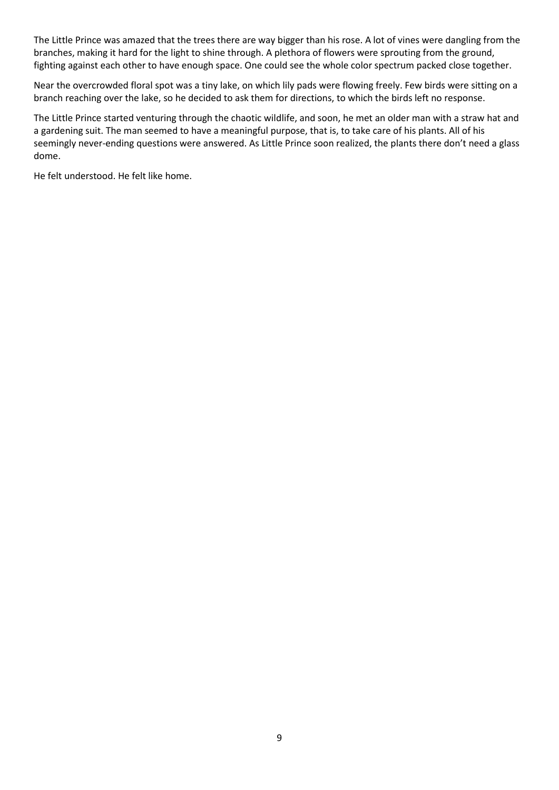The Little Prince was amazed that the trees there are way bigger than his rose. A lot of vines were dangling from the branches, making it hard for the light to shine through. A plethora of flowers were sprouting from the ground, fighting against each other to have enough space. One could see the whole color spectrum packed close together.

Near the overcrowded floral spot was a tiny lake, on which lily pads were flowing freely. Few birds were sitting on a branch reaching over the lake, so he decided to ask them for directions, to which the birds left no response.

The Little Prince started venturing through the chaotic wildlife, and soon, he met an older man with a straw hat and a gardening suit. The man seemed to have a meaningful purpose, that is, to take care of his plants. All of his seemingly never-ending questions were answered. As Little Prince soon realized, the plants there don't need a glass dome.

He felt understood. He felt like home.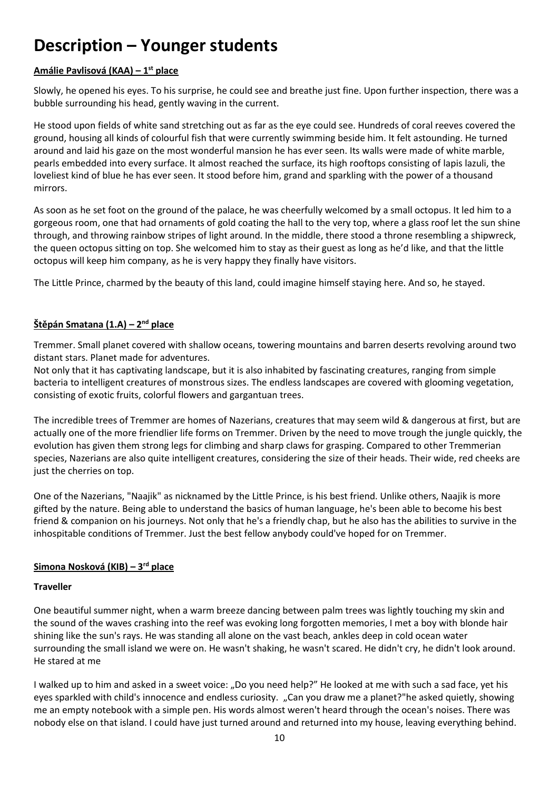# **Description – Younger students**

# **Amálie Pavlisová (KAA) – 1 st place**

Slowly, he opened his eyes. To his surprise, he could see and breathe just fine. Upon further inspection, there was a bubble surrounding his head, gently waving in the current.

He stood upon fields of white sand stretching out as far as the eye could see. Hundreds of coral reeves covered the ground, housing all kinds of colourful fish that were currently swimming beside him. It felt astounding. He turned around and laid his gaze on the most wonderful mansion he has ever seen. Its walls were made of white marble, pearls embedded into every surface. It almost reached the surface, its high rooftops consisting of lapis lazuli, the loveliest kind of blue he has ever seen. It stood before him, grand and sparkling with the power of a thousand mirrors.

As soon as he set foot on the ground of the palace, he was cheerfully welcomed by a small octopus. It led him to a gorgeous room, one that had ornaments of gold coating the hall to the very top, where a glass roof let the sun shine through, and throwing rainbow stripes of light around. In the middle, there stood a throne resembling a shipwreck, the queen octopus sitting on top. She welcomed him to stay as their guest as long as he'd like, and that the little octopus will keep him company, as he is very happy they finally have visitors.

The Little Prince, charmed by the beauty of this land, could imagine himself staying here. And so, he stayed.

## **Štěpán Smatana (1.A) – 2 nd place**

Tremmer. Small planet covered with shallow oceans, towering mountains and barren deserts revolving around two distant stars. Planet made for adventures.

Not only that it has captivating landscape, but it is also inhabited by fascinating creatures, ranging from simple bacteria to intelligent creatures of monstrous sizes. The endless landscapes are covered with glooming vegetation, consisting of exotic fruits, colorful flowers and gargantuan trees.

The incredible trees of Tremmer are homes of Nazerians, creatures that may seem wild & dangerous at first, but are actually one of the more friendlier life forms on Tremmer. Driven by the need to move trough the jungle quickly, the evolution has given them strong legs for climbing and sharp claws for grasping. Compared to other Tremmerian species, Nazerians are also quite intelligent creatures, considering the size of their heads. Their wide, red cheeks are just the cherries on top.

One of the Nazerians, "Naajik" as nicknamed by the Little Prince, is his best friend. Unlike others, Naajik is more gifted by the nature. Being able to understand the basics of human language, he's been able to become his best friend & companion on his journeys. Not only that he's a friendly chap, but he also has the abilities to survive in the inhospitable conditions of Tremmer. Just the best fellow anybody could've hoped for on Tremmer.

# **Simona Nosková (KIB) – 3 rd place**

## **Traveller**

One beautiful summer night, when a warm breeze dancing between palm trees was lightly touching my skin and the sound of the waves crashing into the reef was evoking long forgotten memories, I met a boy with blonde hair shining like the sun's rays. He was standing all alone on the vast beach, ankles deep in cold ocean water surrounding the small island we were on. He wasn't shaking, he wasn't scared. He didn't cry, he didn't look around. He stared at me

I walked up to him and asked in a sweet voice: "Do you need help?" He looked at me with such a sad face, yet his eyes sparkled with child's innocence and endless curiosity. "Can you draw me a planet?"he asked quietly, showing me an empty notebook with a simple pen. His words almost weren't heard through the ocean's noises. There was nobody else on that island. I could have just turned around and returned into my house, leaving everything behind.